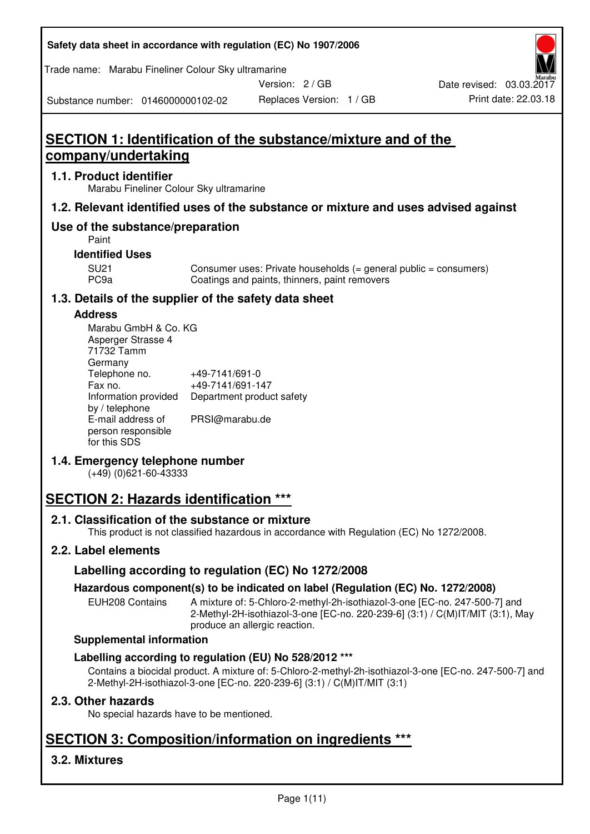| Safety data sheet in accordance with regulation (EC) No 1907/2006 |  |
|-------------------------------------------------------------------|--|
|-------------------------------------------------------------------|--|

Trade name: Marabu Fineliner Colour Sky ultramarine

Version: 2 / GB

Substance number: 0146000000102-02

# **SECTION 1: Identification of the substance/mixture and of the company/undertaking**

# **1.1. Product identifier**

Marabu Fineliner Colour Sky ultramarine

# **1.2. Relevant identified uses of the substance or mixture and uses advised against**

# **Use of the substance/preparation**

Paint

#### **Identified Uses**

SU21 Consumer uses: Private households (= general public = consumers)<br>PC9a Coatings and paints, thinners, paint removers Coatings and paints, thinners, paint removers

# **1.3. Details of the supplier of the safety data sheet**

#### **Address**

| Marabu GmbH & Co. KG |                           |
|----------------------|---------------------------|
| Asperger Strasse 4   |                           |
| 71732 Tamm           |                           |
| Germany              |                           |
| Telephone no.        | +49-7141/691-0            |
| Fax no.              | +49-7141/691-147          |
| Information provided | Department product safety |
| by / telephone       |                           |
| E-mail address of    | PRSI@marabu.de            |
| person responsible   |                           |
| for this SDS         |                           |

# **1.4. Emergency telephone number**

(+49) (0)621-60-43333

# **SECTION 2: Hazards identification \*\*\***

# **2.1. Classification of the substance or mixture**

This product is not classified hazardous in accordance with Regulation (EC) No 1272/2008.

# **2.2. Label elements**

# **Labelling according to regulation (EC) No 1272/2008**

# **Hazardous component(s) to be indicated on label (Regulation (EC) No. 1272/2008)**

EUH208 Contains A mixture of: 5-Chloro-2-methyl-2h-isothiazol-3-one [EC-no. 247-500-7] and 2-Methyl-2H-isothiazol-3-one [EC-no. 220-239-6] (3:1) / C(M)IT/MIT (3:1), May produce an allergic reaction.

#### **Supplemental information**

# **Labelling according to regulation (EU) No 528/2012 \*\*\***

Contains a biocidal product. A mixture of: 5-Chloro-2-methyl-2h-isothiazol-3-one [EC-no. 247-500-7] and 2-Methyl-2H-isothiazol-3-one [EC-no. 220-239-6] (3:1) / C(M)IT/MIT (3:1)

# **2.3. Other hazards**

No special hazards have to be mentioned.

# **SECTION 3: Composition/information on ingredients \*\*\***

# **3.2. Mixtures**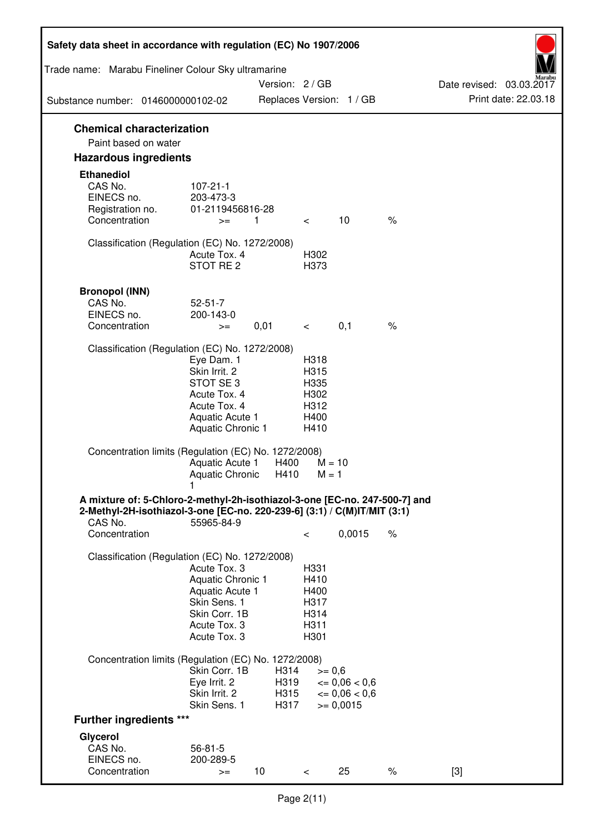| Safety data sheet in accordance with regulation (EC) No 1907/2006                                                                                                 |                                                                                                                       |                              |                                                      |                                                                   |      |                          |
|-------------------------------------------------------------------------------------------------------------------------------------------------------------------|-----------------------------------------------------------------------------------------------------------------------|------------------------------|------------------------------------------------------|-------------------------------------------------------------------|------|--------------------------|
| Trade name: Marabu Fineliner Colour Sky ultramarine                                                                                                               |                                                                                                                       | Version: 2 / GB              |                                                      |                                                                   |      | Date revised: 03.03.2017 |
| Substance number: 0146000000102-02                                                                                                                                |                                                                                                                       |                              |                                                      | Replaces Version: 1 / GB                                          |      | Print date: 22.03.18     |
| <b>Chemical characterization</b><br>Paint based on water                                                                                                          |                                                                                                                       |                              |                                                      |                                                                   |      |                          |
| <b>Hazardous ingredients</b>                                                                                                                                      |                                                                                                                       |                              |                                                      |                                                                   |      |                          |
| <b>Ethanediol</b>                                                                                                                                                 |                                                                                                                       |                              |                                                      |                                                                   |      |                          |
| CAS No.<br>EINECS no.<br>Registration no.                                                                                                                         | $107 - 21 - 1$<br>203-473-3<br>01-2119456816-28                                                                       |                              |                                                      |                                                                   |      |                          |
| Concentration                                                                                                                                                     | $>=$                                                                                                                  | $\mathbf{1}$                 | $\lt$                                                | 10                                                                | $\%$ |                          |
| Classification (Regulation (EC) No. 1272/2008)                                                                                                                    | Acute Tox, 4<br>STOT RE <sub>2</sub>                                                                                  |                              | H302<br>H373                                         |                                                                   |      |                          |
| <b>Bronopol (INN)</b>                                                                                                                                             |                                                                                                                       |                              |                                                      |                                                                   |      |                          |
| CAS No.                                                                                                                                                           | $52 - 51 - 7$                                                                                                         |                              |                                                      |                                                                   |      |                          |
| EINECS no.                                                                                                                                                        | 200-143-0                                                                                                             |                              |                                                      |                                                                   |      |                          |
| Concentration                                                                                                                                                     | $>=$                                                                                                                  | 0,01                         | $\,<\,$                                              | 0,1                                                               | $\%$ |                          |
| Classification (Regulation (EC) No. 1272/2008)                                                                                                                    | Eye Dam. 1<br>Skin Irrit. 2<br>STOT SE3<br>Acute Tox. 4<br>Acute Tox. 4<br>Aquatic Acute 1<br>Aquatic Chronic 1       |                              | H318<br>H315<br>H335<br>H302<br>H312<br>H400<br>H410 |                                                                   |      |                          |
| Concentration limits (Regulation (EC) No. 1272/2008)                                                                                                              | Aquatic Acute 1<br><b>Aquatic Chronic</b>                                                                             | H400<br>H410                 | $M = 1$                                              | $M = 10$                                                          |      |                          |
| A mixture of: 5-Chloro-2-methyl-2h-isothiazol-3-one [EC-no. 247-500-7] and<br>2-Methyl-2H-isothiazol-3-one [EC-no. 220-239-6] (3:1) / C(M)IT/MIT (3:1)<br>CAS No. | 55965-84-9                                                                                                            |                              |                                                      |                                                                   |      |                          |
| Concentration                                                                                                                                                     |                                                                                                                       |                              | $\,<\,$                                              | 0,0015                                                            | $\%$ |                          |
| Classification (Regulation (EC) No. 1272/2008)                                                                                                                    | Acute Tox, 3<br>Aquatic Chronic 1<br>Aquatic Acute 1<br>Skin Sens. 1<br>Skin Corr. 1B<br>Acute Tox. 3<br>Acute Tox. 3 |                              | H331<br>H410<br>H400<br>H317<br>H314<br>H311<br>H301 |                                                                   |      |                          |
| Concentration limits (Regulation (EC) No. 1272/2008)                                                                                                              |                                                                                                                       |                              |                                                      |                                                                   |      |                          |
|                                                                                                                                                                   | Skin Corr. 1B<br>Eye Irrit. 2<br>Skin Irrit. 2<br>Skin Sens. 1                                                        | H314<br>H319<br>H315<br>H317 | $>= 0,6$                                             | $\epsilon = 0.06 < 0.6$<br>$\epsilon = 0.06 < 0.6$<br>$>= 0,0015$ |      |                          |
| <b>Further ingredients ***</b>                                                                                                                                    |                                                                                                                       |                              |                                                      |                                                                   |      |                          |
| Glycerol                                                                                                                                                          |                                                                                                                       |                              |                                                      |                                                                   |      |                          |
| CAS No.<br>EINECS no.                                                                                                                                             | $56 - 81 - 5$<br>200-289-5                                                                                            |                              |                                                      |                                                                   |      |                          |
| Concentration                                                                                                                                                     | $>=$                                                                                                                  | 10                           | $\,<\,$                                              | 25                                                                | $\%$ | $[3]$                    |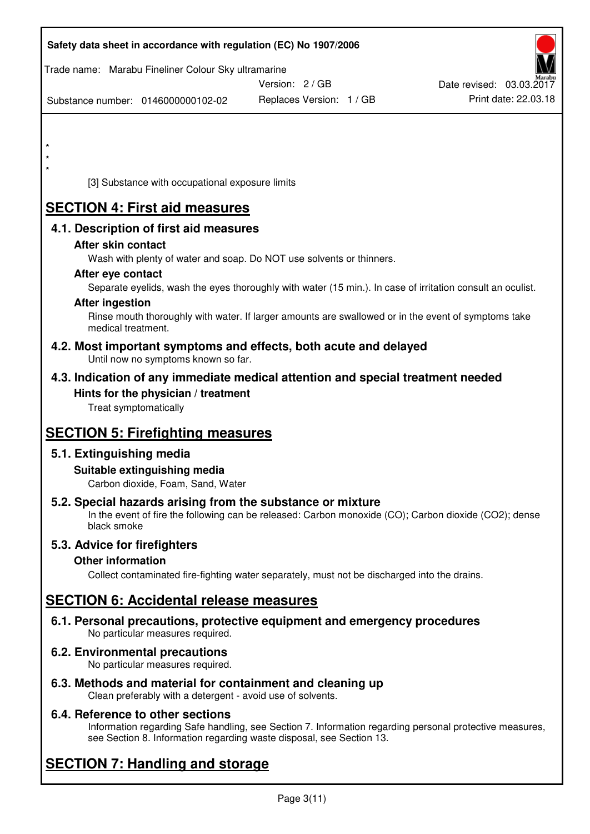|                        | Safety data sheet in accordance with regulation (EC) No 1907/2006  |                                                                                                            |                          |
|------------------------|--------------------------------------------------------------------|------------------------------------------------------------------------------------------------------------|--------------------------|
|                        | Trade name: Marabu Fineliner Colour Sky ultramarine                | Version: 2/GB                                                                                              | Date revised: 03.03.2017 |
|                        | Substance number: 0146000000102-02                                 | Replaces Version: 1 / GB                                                                                   | Print date: 22.03.18     |
|                        |                                                                    |                                                                                                            |                          |
| $\star$                |                                                                    |                                                                                                            |                          |
|                        |                                                                    |                                                                                                            |                          |
|                        | [3] Substance with occupational exposure limits                    |                                                                                                            |                          |
|                        | <b>SECTION 4: First aid measures</b>                               |                                                                                                            |                          |
|                        | 4.1. Description of first aid measures                             |                                                                                                            |                          |
|                        | After skin contact                                                 |                                                                                                            |                          |
|                        | After eye contact                                                  | Wash with plenty of water and soap. Do NOT use solvents or thinners.                                       |                          |
|                        |                                                                    | Separate eyelids, wash the eyes thoroughly with water (15 min.). In case of irritation consult an oculist. |                          |
| <b>After ingestion</b> |                                                                    |                                                                                                            |                          |
|                        | medical treatment.                                                 | Rinse mouth thoroughly with water. If larger amounts are swallowed or in the event of symptoms take        |                          |
|                        | Until now no symptoms known so far.                                | 4.2. Most important symptoms and effects, both acute and delayed                                           |                          |
|                        |                                                                    | 4.3. Indication of any immediate medical attention and special treatment needed                            |                          |
|                        | Hints for the physician / treatment<br>Treat symptomatically       |                                                                                                            |                          |
|                        |                                                                    |                                                                                                            |                          |
|                        | <b>SECTION 5: Firefighting measures</b>                            |                                                                                                            |                          |
|                        | 5.1. Extinguishing media                                           |                                                                                                            |                          |
|                        | Suitable extinguishing media<br>Carbon dioxide, Foam, Sand, Water  |                                                                                                            |                          |
|                        |                                                                    | 5.2. Special hazards arising from the substance or mixture                                                 |                          |
|                        | black smoke                                                        | In the event of fire the following can be released: Carbon monoxide (CO); Carbon dioxide (CO2); dense      |                          |
|                        | 5.3. Advice for firefighters                                       |                                                                                                            |                          |
|                        | <b>Other information</b>                                           | Collect contaminated fire-fighting water separately, must not be discharged into the drains.               |                          |
|                        |                                                                    |                                                                                                            |                          |
|                        | <b>SECTION 6: Accidental release measures</b>                      |                                                                                                            |                          |
|                        | No particular measures required.                                   | 6.1. Personal precautions, protective equipment and emergency procedures                                   |                          |
|                        | 6.2. Environmental precautions<br>No particular measures required. |                                                                                                            |                          |
|                        |                                                                    | 6.3. Methods and material for containment and cleaning up                                                  |                          |

Clean preferably with a detergent - avoid use of solvents.

# **6.4. Reference to other sections**

Information regarding Safe handling, see Section 7. Information regarding personal protective measures, see Section 8. Information regarding waste disposal, see Section 13.

# **SECTION 7: Handling and storage**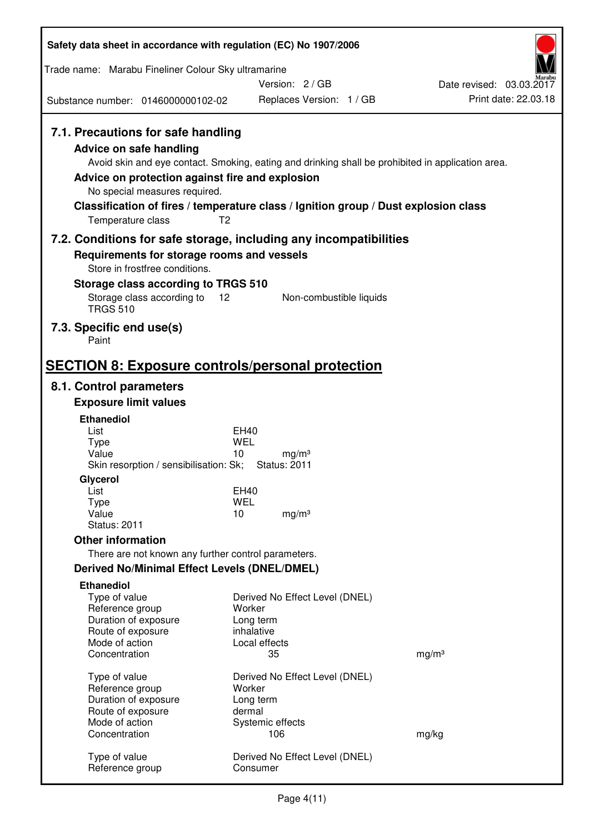| Safety data sheet in accordance with regulation (EC) No 1907/2006                                                                                                                                                                                                                                                                                                  |                           |                                          |                                                  |
|--------------------------------------------------------------------------------------------------------------------------------------------------------------------------------------------------------------------------------------------------------------------------------------------------------------------------------------------------------------------|---------------------------|------------------------------------------|--------------------------------------------------|
| Trade name: Marabu Fineliner Colour Sky ultramarine                                                                                                                                                                                                                                                                                                                |                           |                                          |                                                  |
|                                                                                                                                                                                                                                                                                                                                                                    |                           | Version: 2 / GB                          | Date revised: 03.03.2017<br>Print date: 22.03.18 |
| Substance number: 0146000000102-02                                                                                                                                                                                                                                                                                                                                 |                           | Replaces Version: 1 / GB                 |                                                  |
| 7.1. Precautions for safe handling<br>Advice on safe handling<br>Avoid skin and eye contact. Smoking, eating and drinking shall be prohibited in application area.<br>Advice on protection against fire and explosion<br>No special measures required.<br>Classification of fires / temperature class / Ignition group / Dust explosion class<br>Temperature class | T <sub>2</sub>            |                                          |                                                  |
| 7.2. Conditions for safe storage, including any incompatibilities                                                                                                                                                                                                                                                                                                  |                           |                                          |                                                  |
| Requirements for storage rooms and vessels                                                                                                                                                                                                                                                                                                                         |                           |                                          |                                                  |
| Store in frostfree conditions.                                                                                                                                                                                                                                                                                                                                     |                           |                                          |                                                  |
| Storage class according to TRGS 510<br>Storage class according to                                                                                                                                                                                                                                                                                                  | 12                        | Non-combustible liquids                  |                                                  |
| <b>TRGS 510</b><br>7.3. Specific end use(s)                                                                                                                                                                                                                                                                                                                        |                           |                                          |                                                  |
| Paint                                                                                                                                                                                                                                                                                                                                                              |                           |                                          |                                                  |
| <b>SECTION 8: Exposure controls/personal protection</b>                                                                                                                                                                                                                                                                                                            |                           |                                          |                                                  |
| 8.1. Control parameters                                                                                                                                                                                                                                                                                                                                            |                           |                                          |                                                  |
| <b>Exposure limit values</b>                                                                                                                                                                                                                                                                                                                                       |                           |                                          |                                                  |
| <b>Ethanediol</b><br>List                                                                                                                                                                                                                                                                                                                                          | EH40                      |                                          |                                                  |
| <b>Type</b>                                                                                                                                                                                                                                                                                                                                                        | <b>WEL</b>                |                                          |                                                  |
| Value<br>Skin resorption / sensibilisation: Sk;                                                                                                                                                                                                                                                                                                                    | 10                        | mg/m <sup>3</sup><br><b>Status: 2011</b> |                                                  |
| Glycerol                                                                                                                                                                                                                                                                                                                                                           |                           |                                          |                                                  |
| List<br>Type                                                                                                                                                                                                                                                                                                                                                       | <b>EH40</b><br><b>WEL</b> |                                          |                                                  |
| Value                                                                                                                                                                                                                                                                                                                                                              | 10                        | mg/m <sup>3</sup>                        |                                                  |
| <b>Status: 2011</b>                                                                                                                                                                                                                                                                                                                                                |                           |                                          |                                                  |
| <b>Other information</b>                                                                                                                                                                                                                                                                                                                                           |                           |                                          |                                                  |
| There are not known any further control parameters.<br>Derived No/Minimal Effect Levels (DNEL/DMEL)                                                                                                                                                                                                                                                                |                           |                                          |                                                  |
| <b>Ethanediol</b>                                                                                                                                                                                                                                                                                                                                                  |                           |                                          |                                                  |
| Type of value                                                                                                                                                                                                                                                                                                                                                      |                           | Derived No Effect Level (DNEL)           |                                                  |
| Reference group                                                                                                                                                                                                                                                                                                                                                    | Worker                    |                                          |                                                  |
| Duration of exposure<br>Route of exposure                                                                                                                                                                                                                                                                                                                          | Long term<br>inhalative   |                                          |                                                  |
| Mode of action                                                                                                                                                                                                                                                                                                                                                     | Local effects             |                                          |                                                  |
| Concentration                                                                                                                                                                                                                                                                                                                                                      | 35                        |                                          | mg/m <sup>3</sup>                                |
| Type of value                                                                                                                                                                                                                                                                                                                                                      |                           | Derived No Effect Level (DNEL)           |                                                  |
| Reference group<br>Duration of exposure                                                                                                                                                                                                                                                                                                                            | Worker<br>Long term       |                                          |                                                  |
| Route of exposure                                                                                                                                                                                                                                                                                                                                                  | dermal                    |                                          |                                                  |
| Mode of action<br>Concentration                                                                                                                                                                                                                                                                                                                                    | Systemic effects<br>106   |                                          | mg/kg                                            |
|                                                                                                                                                                                                                                                                                                                                                                    |                           |                                          |                                                  |
| Type of value<br>Reference group                                                                                                                                                                                                                                                                                                                                   | Consumer                  | Derived No Effect Level (DNEL)           |                                                  |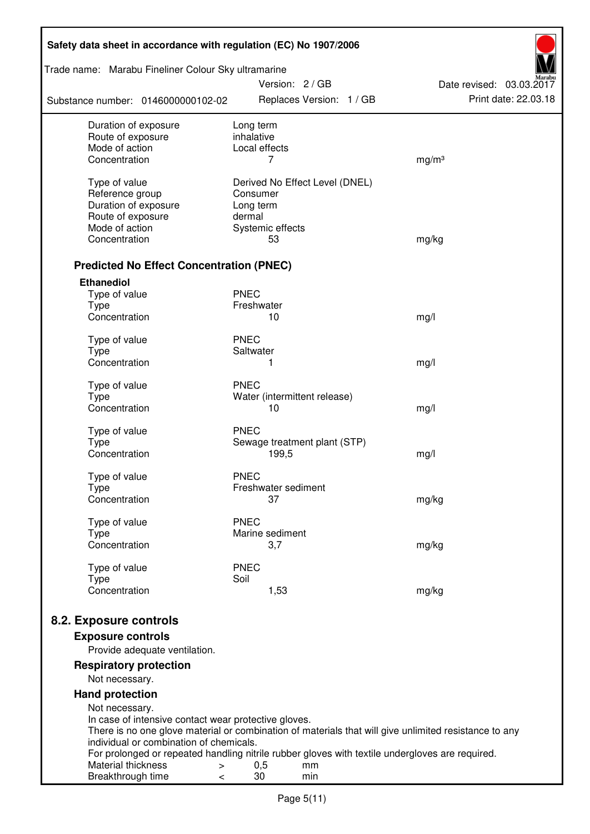| Safety data sheet in accordance with regulation (EC) No 1907/2006                                                                  |                         |                        |                                |                          |
|------------------------------------------------------------------------------------------------------------------------------------|-------------------------|------------------------|--------------------------------|--------------------------|
| Trade name: Marabu Fineliner Colour Sky ultramarine                                                                                |                         | Version: 2 / GB        |                                | Date revised: 03.03.2017 |
| Substance number: 0146000000102-02                                                                                                 |                         |                        | Replaces Version: 1 / GB       | Print date: 22.03.18     |
| Duration of exposure<br>Route of exposure                                                                                          | Long term<br>inhalative |                        |                                |                          |
| Mode of action                                                                                                                     | Local effects           |                        |                                |                          |
| Concentration                                                                                                                      |                         | 7                      |                                | mg/m <sup>3</sup>        |
| Type of value                                                                                                                      |                         |                        | Derived No Effect Level (DNEL) |                          |
| Reference group                                                                                                                    | Consumer                |                        |                                |                          |
| Duration of exposure                                                                                                               | Long term               |                        |                                |                          |
| Route of exposure                                                                                                                  | dermal                  |                        |                                |                          |
| Mode of action                                                                                                                     |                         | Systemic effects       |                                |                          |
| Concentration                                                                                                                      |                         | 53                     |                                | mg/kg                    |
| <b>Predicted No Effect Concentration (PNEC)</b>                                                                                    |                         |                        |                                |                          |
| <b>Ethanediol</b>                                                                                                                  |                         |                        |                                |                          |
| Type of value                                                                                                                      | <b>PNEC</b>             |                        |                                |                          |
| <b>Type</b><br>Concentration                                                                                                       | Freshwater              | 10                     |                                |                          |
|                                                                                                                                    |                         |                        |                                | mg/l                     |
| Type of value                                                                                                                      | <b>PNEC</b>             |                        |                                |                          |
| <b>Type</b>                                                                                                                        | Saltwater               |                        |                                |                          |
| Concentration                                                                                                                      |                         | 1                      |                                | mg/l                     |
| Type of value                                                                                                                      | <b>PNEC</b>             |                        |                                |                          |
| <b>Type</b>                                                                                                                        |                         |                        | Water (intermittent release)   |                          |
| Concentration                                                                                                                      |                         | 10                     |                                | mg/l                     |
| Type of value                                                                                                                      | <b>PNEC</b>             |                        |                                |                          |
| <b>Type</b>                                                                                                                        |                         |                        | Sewage treatment plant (STP)   |                          |
| Concentration                                                                                                                      |                         | 199,5                  |                                | mg/l                     |
|                                                                                                                                    |                         |                        |                                |                          |
| Type of value                                                                                                                      | <b>PNEC</b>             | Freshwater sediment    |                                |                          |
| Type<br>Concentration                                                                                                              |                         | 37                     |                                | mg/kg                    |
|                                                                                                                                    |                         |                        |                                |                          |
| Type of value                                                                                                                      | <b>PNEC</b>             |                        |                                |                          |
| Type<br>Concentration                                                                                                              |                         | Marine sediment<br>3,7 |                                |                          |
|                                                                                                                                    |                         |                        |                                | mg/kg                    |
| Type of value                                                                                                                      | <b>PNEC</b>             |                        |                                |                          |
| <b>Type</b>                                                                                                                        | Soil                    |                        |                                |                          |
| Concentration                                                                                                                      |                         | 1,53                   |                                | mg/kg                    |
| 8.2. Exposure controls                                                                                                             |                         |                        |                                |                          |
| <b>Exposure controls</b>                                                                                                           |                         |                        |                                |                          |
| Provide adequate ventilation.                                                                                                      |                         |                        |                                |                          |
| <b>Respiratory protection</b>                                                                                                      |                         |                        |                                |                          |
| Not necessary.                                                                                                                     |                         |                        |                                |                          |
| <b>Hand protection</b>                                                                                                             |                         |                        |                                |                          |
| Not necessary.                                                                                                                     |                         |                        |                                |                          |
| In case of intensive contact wear protective gloves.                                                                               |                         |                        |                                |                          |
| There is no one glove material or combination of materials that will give unlimited resistance to any                              |                         |                        |                                |                          |
| individual or combination of chemicals.                                                                                            |                         |                        |                                |                          |
| For prolonged or repeated handling nitrile rubber gloves with textile undergloves are required.<br>Material thickness<br>$\, > \,$ | 0,5                     |                        | mm                             |                          |
| Breakthrough time<br>$\,<\,$                                                                                                       | 30                      |                        | min                            |                          |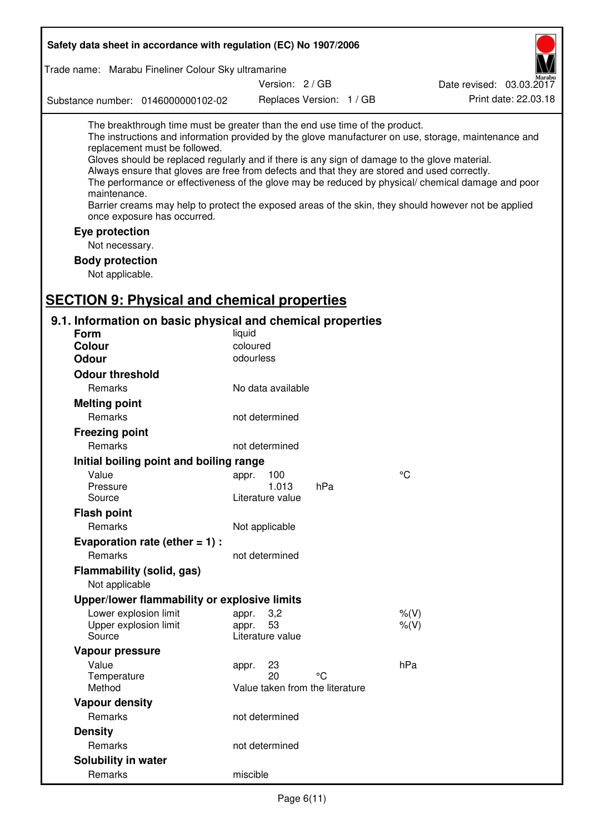| Safety data sheet in accordance with regulation (EC) No 1907/2006                                                                                                                                                                                                                                                                                                                                                                             |                                                      |                          |                                                                                                                                                                                                                                                                                                                    |
|-----------------------------------------------------------------------------------------------------------------------------------------------------------------------------------------------------------------------------------------------------------------------------------------------------------------------------------------------------------------------------------------------------------------------------------------------|------------------------------------------------------|--------------------------|--------------------------------------------------------------------------------------------------------------------------------------------------------------------------------------------------------------------------------------------------------------------------------------------------------------------|
| Trade name: Marabu Fineliner Colour Sky ultramarine                                                                                                                                                                                                                                                                                                                                                                                           |                                                      |                          |                                                                                                                                                                                                                                                                                                                    |
|                                                                                                                                                                                                                                                                                                                                                                                                                                               | Version: 2 / GB                                      |                          | Date revised: 03.03.2017                                                                                                                                                                                                                                                                                           |
| Substance number: 0146000000102-02                                                                                                                                                                                                                                                                                                                                                                                                            |                                                      | Replaces Version: 1 / GB | Print date: 22.03.18                                                                                                                                                                                                                                                                                               |
| The breakthrough time must be greater than the end use time of the product.<br>replacement must be followed.<br>Gloves should be replaced regularly and if there is any sign of damage to the glove material.<br>Always ensure that gloves are free from defects and that they are stored and used correctly.<br>maintenance.<br>once exposure has occurred.<br>Eye protection<br>Not necessary.<br><b>Body protection</b><br>Not applicable. |                                                      |                          | The instructions and information provided by the glove manufacturer on use, storage, maintenance and<br>The performance or effectiveness of the glove may be reduced by physical/ chemical damage and poor<br>Barrier creams may help to protect the exposed areas of the skin, they should however not be applied |
| <b>SECTION 9: Physical and chemical properties</b><br>9.1. Information on basic physical and chemical properties                                                                                                                                                                                                                                                                                                                              |                                                      |                          |                                                                                                                                                                                                                                                                                                                    |
| <b>Form</b>                                                                                                                                                                                                                                                                                                                                                                                                                                   | liquid                                               |                          |                                                                                                                                                                                                                                                                                                                    |
| <b>Colour</b>                                                                                                                                                                                                                                                                                                                                                                                                                                 | coloured                                             |                          |                                                                                                                                                                                                                                                                                                                    |
| <b>Odour</b>                                                                                                                                                                                                                                                                                                                                                                                                                                  | odourless                                            |                          |                                                                                                                                                                                                                                                                                                                    |
| <b>Odour threshold</b>                                                                                                                                                                                                                                                                                                                                                                                                                        |                                                      |                          |                                                                                                                                                                                                                                                                                                                    |
| Remarks                                                                                                                                                                                                                                                                                                                                                                                                                                       | No data available                                    |                          |                                                                                                                                                                                                                                                                                                                    |
| <b>Melting point</b>                                                                                                                                                                                                                                                                                                                                                                                                                          |                                                      |                          |                                                                                                                                                                                                                                                                                                                    |
| Remarks                                                                                                                                                                                                                                                                                                                                                                                                                                       | not determined                                       |                          |                                                                                                                                                                                                                                                                                                                    |
| <b>Freezing point</b>                                                                                                                                                                                                                                                                                                                                                                                                                         |                                                      |                          |                                                                                                                                                                                                                                                                                                                    |
| Remarks                                                                                                                                                                                                                                                                                                                                                                                                                                       | not determined                                       |                          |                                                                                                                                                                                                                                                                                                                    |
| Initial boiling point and boiling range                                                                                                                                                                                                                                                                                                                                                                                                       |                                                      |                          |                                                                                                                                                                                                                                                                                                                    |
| Value                                                                                                                                                                                                                                                                                                                                                                                                                                         | 100<br>appr.                                         |                          | °C                                                                                                                                                                                                                                                                                                                 |
| Pressure<br>Source                                                                                                                                                                                                                                                                                                                                                                                                                            | 1.013<br>Literature value                            | hPa                      |                                                                                                                                                                                                                                                                                                                    |
| <b>Flash point</b>                                                                                                                                                                                                                                                                                                                                                                                                                            |                                                      |                          |                                                                                                                                                                                                                                                                                                                    |
| Remarks                                                                                                                                                                                                                                                                                                                                                                                                                                       | Not applicable                                       |                          |                                                                                                                                                                                                                                                                                                                    |
| Evaporation rate (ether $= 1$ ) :                                                                                                                                                                                                                                                                                                                                                                                                             |                                                      |                          |                                                                                                                                                                                                                                                                                                                    |
| <b>Remarks</b>                                                                                                                                                                                                                                                                                                                                                                                                                                | not determined                                       |                          |                                                                                                                                                                                                                                                                                                                    |
| Flammability (solid, gas)<br>Not applicable                                                                                                                                                                                                                                                                                                                                                                                                   |                                                      |                          |                                                                                                                                                                                                                                                                                                                    |
| Upper/lower flammability or explosive limits                                                                                                                                                                                                                                                                                                                                                                                                  |                                                      |                          |                                                                                                                                                                                                                                                                                                                    |
| Lower explosion limit                                                                                                                                                                                                                                                                                                                                                                                                                         | 3,2<br>appr.                                         |                          | $%$ (V)                                                                                                                                                                                                                                                                                                            |
| Upper explosion limit<br>Source                                                                                                                                                                                                                                                                                                                                                                                                               | 53<br>appr.<br>Literature value                      |                          | $%$ (V)                                                                                                                                                                                                                                                                                                            |
| Vapour pressure                                                                                                                                                                                                                                                                                                                                                                                                                               |                                                      |                          |                                                                                                                                                                                                                                                                                                                    |
| Value<br>Temperature<br>Method                                                                                                                                                                                                                                                                                                                                                                                                                | 23<br>appr.<br>20<br>Value taken from the literature | °C                       | hPa                                                                                                                                                                                                                                                                                                                |
| <b>Vapour density</b>                                                                                                                                                                                                                                                                                                                                                                                                                         |                                                      |                          |                                                                                                                                                                                                                                                                                                                    |
| Remarks                                                                                                                                                                                                                                                                                                                                                                                                                                       | not determined                                       |                          |                                                                                                                                                                                                                                                                                                                    |
| <b>Density</b>                                                                                                                                                                                                                                                                                                                                                                                                                                |                                                      |                          |                                                                                                                                                                                                                                                                                                                    |
| Remarks                                                                                                                                                                                                                                                                                                                                                                                                                                       | not determined                                       |                          |                                                                                                                                                                                                                                                                                                                    |
| Solubility in water                                                                                                                                                                                                                                                                                                                                                                                                                           |                                                      |                          |                                                                                                                                                                                                                                                                                                                    |
| Remarks                                                                                                                                                                                                                                                                                                                                                                                                                                       | miscible                                             |                          |                                                                                                                                                                                                                                                                                                                    |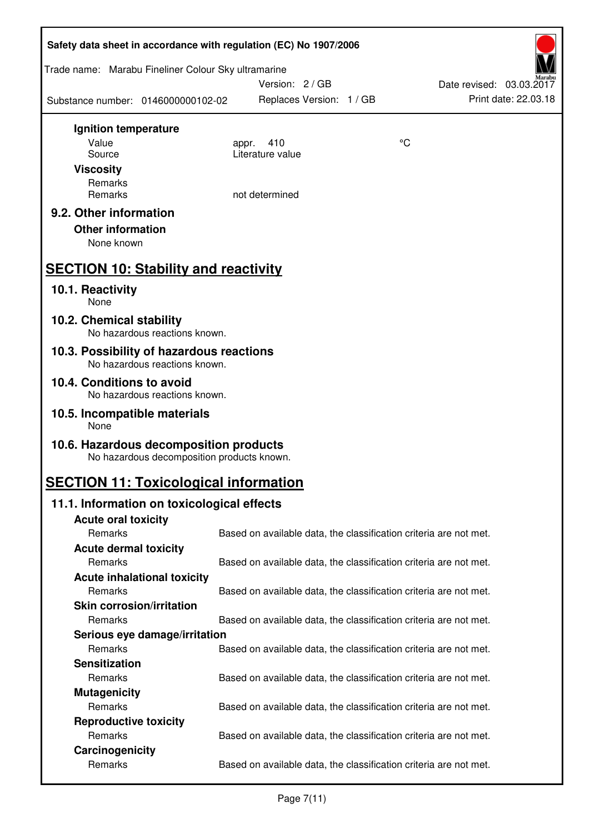| Safety data sheet in accordance with regulation (EC) No 1907/2006         |                                            |                                                                   |    |                          |  |
|---------------------------------------------------------------------------|--------------------------------------------|-------------------------------------------------------------------|----|--------------------------|--|
| Trade name: Marabu Fineliner Colour Sky ultramarine                       |                                            | Version: 2/GB                                                     |    | Date revised: 03.03.2017 |  |
| Substance number: 0146000000102-02                                        |                                            | Replaces Version: 1 / GB                                          |    | Print date: 22.03.18     |  |
| Ignition temperature                                                      |                                            |                                                                   |    |                          |  |
| Value                                                                     | appr.                                      | 410                                                               | °C |                          |  |
| Source                                                                    |                                            | Literature value                                                  |    |                          |  |
| <b>Viscosity</b>                                                          |                                            |                                                                   |    |                          |  |
| Remarks<br>Remarks                                                        |                                            | not determined                                                    |    |                          |  |
|                                                                           |                                            |                                                                   |    |                          |  |
| 9.2. Other information                                                    |                                            |                                                                   |    |                          |  |
| <b>Other information</b>                                                  |                                            |                                                                   |    |                          |  |
| None known                                                                |                                            |                                                                   |    |                          |  |
| <b>SECTION 10: Stability and reactivity</b>                               |                                            |                                                                   |    |                          |  |
| 10.1. Reactivity<br>None                                                  |                                            |                                                                   |    |                          |  |
| 10.2. Chemical stability<br>No hazardous reactions known.                 |                                            |                                                                   |    |                          |  |
| 10.3. Possibility of hazardous reactions<br>No hazardous reactions known. |                                            |                                                                   |    |                          |  |
| 10.4. Conditions to avoid<br>No hazardous reactions known.                |                                            |                                                                   |    |                          |  |
| 10.5. Incompatible materials<br>None                                      |                                            |                                                                   |    |                          |  |
| 10.6. Hazardous decomposition products                                    | No hazardous decomposition products known. |                                                                   |    |                          |  |
| <b>SECTION 11: Toxicological information</b>                              |                                            |                                                                   |    |                          |  |
| 11.1. Information on toxicological effects                                |                                            |                                                                   |    |                          |  |
| <b>Acute oral toxicity</b>                                                |                                            |                                                                   |    |                          |  |
| Remarks                                                                   |                                            | Based on available data, the classification criteria are not met. |    |                          |  |
| <b>Acute dermal toxicity</b>                                              |                                            |                                                                   |    |                          |  |
| Remarks                                                                   |                                            | Based on available data, the classification criteria are not met. |    |                          |  |
| <b>Acute inhalational toxicity</b>                                        |                                            |                                                                   |    |                          |  |
| Remarks                                                                   |                                            | Based on available data, the classification criteria are not met. |    |                          |  |
| <b>Skin corrosion/irritation</b>                                          |                                            |                                                                   |    |                          |  |
| Remarks                                                                   |                                            | Based on available data, the classification criteria are not met. |    |                          |  |
| Serious eye damage/irritation                                             |                                            |                                                                   |    |                          |  |
| Remarks                                                                   |                                            | Based on available data, the classification criteria are not met. |    |                          |  |
| <b>Sensitization</b>                                                      |                                            |                                                                   |    |                          |  |
| Remarks                                                                   |                                            | Based on available data, the classification criteria are not met. |    |                          |  |
| <b>Mutagenicity</b>                                                       |                                            |                                                                   |    |                          |  |
| Remarks                                                                   |                                            | Based on available data, the classification criteria are not met. |    |                          |  |
| <b>Reproductive toxicity</b>                                              |                                            |                                                                   |    |                          |  |
| Remarks                                                                   |                                            | Based on available data, the classification criteria are not met. |    |                          |  |
| Carcinogenicity<br>Remarks                                                |                                            | Based on available data, the classification criteria are not met. |    |                          |  |
|                                                                           |                                            |                                                                   |    |                          |  |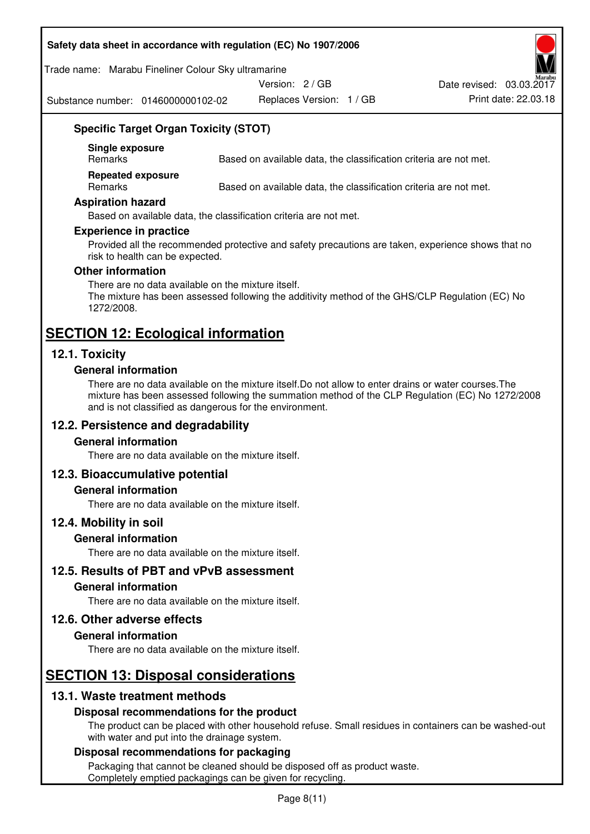#### **Safety data sheet in accordance with regulation (EC) No 1907/2006**

Trade name: Marabu Fineliner Colour Sky ultramarine

Version: 2 / GB

Substance number: 0146000000102-02

Replaces Version: 1 / GB Print date: 22.03.18 Date revised: 03.03.2017

# **Specific Target Organ Toxicity (STOT)**

**Single exposure** 

Based on available data, the classification criteria are not met.

**Repeated exposure** 

Remarks Based on available data, the classification criteria are not met.

#### **Aspiration hazard**

Based on available data, the classification criteria are not met.

#### **Experience in practice**

Provided all the recommended protective and safety precautions are taken, experience shows that no risk to health can be expected.

#### **Other information**

There are no data available on the mixture itself. The mixture has been assessed following the additivity method of the GHS/CLP Regulation (EC) No 1272/2008.

# **SECTION 12: Ecological information**

# **12.1. Toxicity**

#### **General information**

There are no data available on the mixture itself.Do not allow to enter drains or water courses.The mixture has been assessed following the summation method of the CLP Regulation (EC) No 1272/2008 and is not classified as dangerous for the environment.

# **12.2. Persistence and degradability**

#### **General information**

There are no data available on the mixture itself.

# **12.3. Bioaccumulative potential**

#### **General information**

There are no data available on the mixture itself.

#### **12.4. Mobility in soil**

#### **General information**

There are no data available on the mixture itself.

**12.5. Results of PBT and vPvB assessment** 

#### **General information**

There are no data available on the mixture itself.

#### **12.6. Other adverse effects**

#### **General information**

There are no data available on the mixture itself.

# **SECTION 13: Disposal considerations**

# **13.1. Waste treatment methods**

#### **Disposal recommendations for the product**

The product can be placed with other household refuse. Small residues in containers can be washed-out with water and put into the drainage system.

#### **Disposal recommendations for packaging**

Packaging that cannot be cleaned should be disposed off as product waste. Completely emptied packagings can be given for recycling.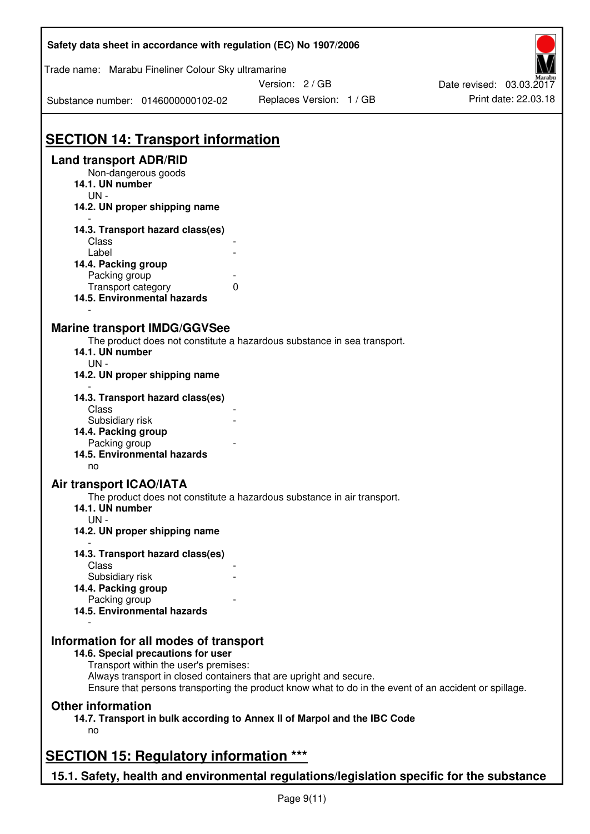| Safety data sheet in accordance with regulation (EC) No 1907/2006                                                                                                                                                                                                                                    |                                           |                                                  |
|------------------------------------------------------------------------------------------------------------------------------------------------------------------------------------------------------------------------------------------------------------------------------------------------------|-------------------------------------------|--------------------------------------------------|
| Trade name: Marabu Fineliner Colour Sky ultramarine                                                                                                                                                                                                                                                  |                                           |                                                  |
| Substance number: 0146000000102-02                                                                                                                                                                                                                                                                   | Version: 2/GB<br>Replaces Version: 1 / GB | Date revised: 03.03.2017<br>Print date: 22.03.18 |
|                                                                                                                                                                                                                                                                                                      |                                           |                                                  |
| <b>SECTION 14: Transport information</b>                                                                                                                                                                                                                                                             |                                           |                                                  |
| <b>Land transport ADR/RID</b>                                                                                                                                                                                                                                                                        |                                           |                                                  |
| Non-dangerous goods<br>14.1. UN number<br>$UN -$                                                                                                                                                                                                                                                     |                                           |                                                  |
| 14.2. UN proper shipping name                                                                                                                                                                                                                                                                        |                                           |                                                  |
| 14.3. Transport hazard class(es)                                                                                                                                                                                                                                                                     |                                           |                                                  |
| Class<br>Label                                                                                                                                                                                                                                                                                       |                                           |                                                  |
| 14.4. Packing group                                                                                                                                                                                                                                                                                  |                                           |                                                  |
| Packing group                                                                                                                                                                                                                                                                                        |                                           |                                                  |
| Transport category                                                                                                                                                                                                                                                                                   | 0                                         |                                                  |
| 14.5. Environmental hazards                                                                                                                                                                                                                                                                          |                                           |                                                  |
| <b>Marine transport IMDG/GGVSee</b><br>The product does not constitute a hazardous substance in sea transport.<br>14.1. UN number<br>$UN -$<br>14.2. UN proper shipping name                                                                                                                         |                                           |                                                  |
| 14.3. Transport hazard class(es)                                                                                                                                                                                                                                                                     |                                           |                                                  |
| Class                                                                                                                                                                                                                                                                                                |                                           |                                                  |
| Subsidiary risk                                                                                                                                                                                                                                                                                      |                                           |                                                  |
| 14.4. Packing group                                                                                                                                                                                                                                                                                  |                                           |                                                  |
| Packing group<br>14.5. Environmental hazards                                                                                                                                                                                                                                                         |                                           |                                                  |
| no                                                                                                                                                                                                                                                                                                   |                                           |                                                  |
| Air transport ICAO/IATA<br>The product does not constitute a hazardous substance in air transport.<br>14.1. UN number<br>$UN -$<br>14.2. UN proper shipping name                                                                                                                                     |                                           |                                                  |
| 14.3. Transport hazard class(es)                                                                                                                                                                                                                                                                     |                                           |                                                  |
| Class                                                                                                                                                                                                                                                                                                |                                           |                                                  |
| Subsidiary risk                                                                                                                                                                                                                                                                                      |                                           |                                                  |
| 14.4. Packing group                                                                                                                                                                                                                                                                                  |                                           |                                                  |
| Packing group<br>14.5. Environmental hazards                                                                                                                                                                                                                                                         |                                           |                                                  |
| Information for all modes of transport<br>14.6. Special precautions for user<br>Transport within the user's premises:<br>Always transport in closed containers that are upright and secure.<br>Ensure that persons transporting the product know what to do in the event of an accident or spillage. |                                           |                                                  |
| <b>Other information</b><br>14.7. Transport in bulk according to Annex II of Marpol and the IBC Code<br>no                                                                                                                                                                                           |                                           |                                                  |
|                                                                                                                                                                                                                                                                                                      |                                           |                                                  |
| <b>SECTION 15: Regulatory information ***</b>                                                                                                                                                                                                                                                        |                                           |                                                  |
| 15.1. Safety, health and environmental regulations/legislation specific for the substance                                                                                                                                                                                                            |                                           |                                                  |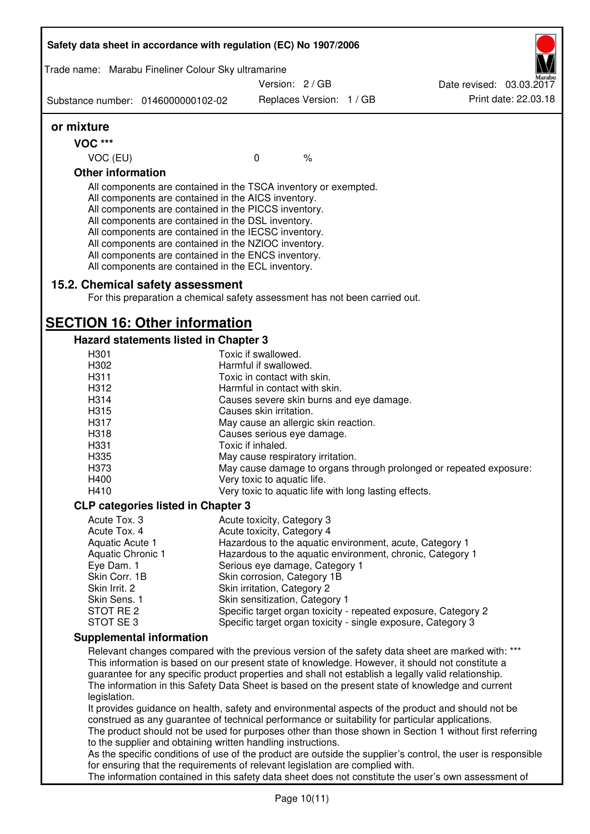| Safety data sheet in accordance with regulation (EC) No 1907/2006                                                                                                                                                                                                                                                                                                                                                                                                 |                             |                                      |                                                                |                                                                                                              |
|-------------------------------------------------------------------------------------------------------------------------------------------------------------------------------------------------------------------------------------------------------------------------------------------------------------------------------------------------------------------------------------------------------------------------------------------------------------------|-----------------------------|--------------------------------------|----------------------------------------------------------------|--------------------------------------------------------------------------------------------------------------|
| Trade name: Marabu Fineliner Colour Sky ultramarine                                                                                                                                                                                                                                                                                                                                                                                                               |                             |                                      |                                                                |                                                                                                              |
|                                                                                                                                                                                                                                                                                                                                                                                                                                                                   |                             | Version: 2/GB                        |                                                                | Date revised: 03.03.2017                                                                                     |
| Substance number: 0146000000102-02                                                                                                                                                                                                                                                                                                                                                                                                                                |                             | Replaces Version: 1 / GB             |                                                                | Print date: 22.03.18                                                                                         |
| or mixture                                                                                                                                                                                                                                                                                                                                                                                                                                                        |                             |                                      |                                                                |                                                                                                              |
| <b>VOC ***</b>                                                                                                                                                                                                                                                                                                                                                                                                                                                    |                             |                                      |                                                                |                                                                                                              |
| VOC (EU)                                                                                                                                                                                                                                                                                                                                                                                                                                                          | $\mathbf 0$                 | $\frac{1}{6}$                        |                                                                |                                                                                                              |
| <b>Other information</b>                                                                                                                                                                                                                                                                                                                                                                                                                                          |                             |                                      |                                                                |                                                                                                              |
| All components are contained in the TSCA inventory or exempted.<br>All components are contained in the AICS inventory.<br>All components are contained in the PICCS inventory.<br>All components are contained in the DSL inventory.<br>All components are contained in the IECSC inventory.<br>All components are contained in the NZIOC inventory.<br>All components are contained in the ENCS inventory.<br>All components are contained in the ECL inventory. |                             |                                      |                                                                |                                                                                                              |
| 15.2. Chemical safety assessment<br>For this preparation a chemical safety assessment has not been carried out.                                                                                                                                                                                                                                                                                                                                                   |                             |                                      |                                                                |                                                                                                              |
| <b>SECTION 16: Other information</b>                                                                                                                                                                                                                                                                                                                                                                                                                              |                             |                                      |                                                                |                                                                                                              |
| Hazard statements listed in Chapter 3                                                                                                                                                                                                                                                                                                                                                                                                                             |                             |                                      |                                                                |                                                                                                              |
| H301                                                                                                                                                                                                                                                                                                                                                                                                                                                              | Toxic if swallowed.         |                                      |                                                                |                                                                                                              |
| H302                                                                                                                                                                                                                                                                                                                                                                                                                                                              | Harmful if swallowed.       |                                      |                                                                |                                                                                                              |
| H311                                                                                                                                                                                                                                                                                                                                                                                                                                                              |                             | Toxic in contact with skin.          |                                                                |                                                                                                              |
| H312                                                                                                                                                                                                                                                                                                                                                                                                                                                              |                             | Harmful in contact with skin.        |                                                                |                                                                                                              |
| H314                                                                                                                                                                                                                                                                                                                                                                                                                                                              |                             |                                      | Causes severe skin burns and eye damage.                       |                                                                                                              |
| H315                                                                                                                                                                                                                                                                                                                                                                                                                                                              | Causes skin irritation.     |                                      |                                                                |                                                                                                              |
| H317                                                                                                                                                                                                                                                                                                                                                                                                                                                              |                             | May cause an allergic skin reaction. |                                                                |                                                                                                              |
| H318                                                                                                                                                                                                                                                                                                                                                                                                                                                              |                             | Causes serious eye damage.           |                                                                |                                                                                                              |
| H331                                                                                                                                                                                                                                                                                                                                                                                                                                                              | Toxic if inhaled.           |                                      |                                                                |                                                                                                              |
| H335                                                                                                                                                                                                                                                                                                                                                                                                                                                              |                             | May cause respiratory irritation.    |                                                                |                                                                                                              |
| H373                                                                                                                                                                                                                                                                                                                                                                                                                                                              |                             |                                      |                                                                | May cause damage to organs through prolonged or repeated exposure:                                           |
| H400                                                                                                                                                                                                                                                                                                                                                                                                                                                              | Very toxic to aquatic life. |                                      |                                                                |                                                                                                              |
| H410                                                                                                                                                                                                                                                                                                                                                                                                                                                              |                             |                                      | Very toxic to aquatic life with long lasting effects.          |                                                                                                              |
| <b>CLP categories listed in Chapter 3</b>                                                                                                                                                                                                                                                                                                                                                                                                                         |                             |                                      |                                                                |                                                                                                              |
| Acute Tox. 3                                                                                                                                                                                                                                                                                                                                                                                                                                                      |                             | Acute toxicity, Category 3           |                                                                |                                                                                                              |
| Acute Tox. 4                                                                                                                                                                                                                                                                                                                                                                                                                                                      |                             | Acute toxicity, Category 4           |                                                                |                                                                                                              |
| Aquatic Acute 1                                                                                                                                                                                                                                                                                                                                                                                                                                                   |                             |                                      | Hazardous to the aquatic environment, acute, Category 1        |                                                                                                              |
| Aquatic Chronic 1                                                                                                                                                                                                                                                                                                                                                                                                                                                 |                             |                                      | Hazardous to the aquatic environment, chronic, Category 1      |                                                                                                              |
| Eye Dam. 1                                                                                                                                                                                                                                                                                                                                                                                                                                                        |                             | Serious eye damage, Category 1       |                                                                |                                                                                                              |
| Skin Corr. 1B                                                                                                                                                                                                                                                                                                                                                                                                                                                     |                             | Skin corrosion, Category 1B          |                                                                |                                                                                                              |
| Skin Irrit. 2                                                                                                                                                                                                                                                                                                                                                                                                                                                     |                             | Skin irritation, Category 2          |                                                                |                                                                                                              |
| Skin Sens. 1                                                                                                                                                                                                                                                                                                                                                                                                                                                      |                             | Skin sensitization, Category 1       |                                                                |                                                                                                              |
| STOT RE 2                                                                                                                                                                                                                                                                                                                                                                                                                                                         |                             |                                      | Specific target organ toxicity - repeated exposure, Category 2 |                                                                                                              |
| STOT SE3                                                                                                                                                                                                                                                                                                                                                                                                                                                          |                             |                                      | Specific target organ toxicity - single exposure, Category 3   |                                                                                                              |
| <b>Supplemental information</b>                                                                                                                                                                                                                                                                                                                                                                                                                                   |                             |                                      |                                                                |                                                                                                              |
| Relevant changes compared with the previous version of the safety data sheet are marked with: ***<br>This information is based on our present state of knowledge. However, it should not constitute a<br>guarantee for any specific product properties and shall not establish a legally valid relationship.<br>The information in this Safety Data Sheet is based on the present state of knowledge and current<br>legislation.                                  |                             |                                      |                                                                |                                                                                                              |
| It provides guidance on health, safety and environmental aspects of the product and should not be<br>construed as any guarantee of technical performance or suitability for particular applications.<br>to the supplier and obtaining written handling instructions.                                                                                                                                                                                              |                             |                                      |                                                                | The product should not be used for purposes other than those shown in Section 1 without first referring      |
| for ensuring that the requirements of relevant legislation are complied with.                                                                                                                                                                                                                                                                                                                                                                                     |                             |                                      |                                                                | As the specific conditions of use of the product are outside the supplier's control, the user is responsible |
|                                                                                                                                                                                                                                                                                                                                                                                                                                                                   |                             |                                      |                                                                | The information contained in this safety data sheet does not constitute the user's own assessment of         |